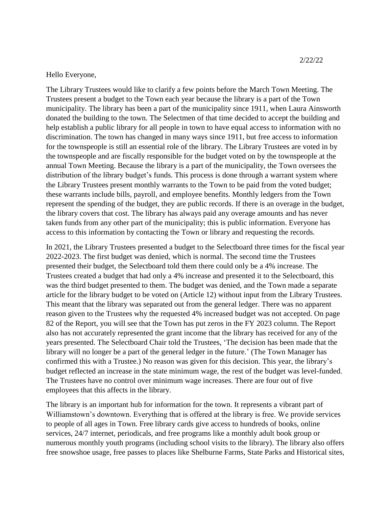2/22/22

Hello Everyone,

The Library Trustees would like to clarify a few points before the March Town Meeting. The Trustees present a budget to the Town each year because the library is a part of the Town municipality. The library has been a part of the municipality since 1911, when Laura Ainsworth donated the building to the town. The Selectmen of that time decided to accept the building and help establish a public library for all people in town to have equal access to information with no discrimination. The town has changed in many ways since 1911, but free access to information for the townspeople is still an essential role of the library. The Library Trustees are voted in by the townspeople and are fiscally responsible for the budget voted on by the townspeople at the annual Town Meeting. Because the library is a part of the municipality, the Town oversees the distribution of the library budget's funds. This process is done through a warrant system where the Library Trustees present monthly warrants to the Town to be paid from the voted budget; these warrants include bills, payroll, and employee benefits. Monthly ledgers from the Town represent the spending of the budget, they are public records. If there is an overage in the budget, the library covers that cost. The library has always paid any overage amounts and has never taken funds from any other part of the municipality; this is public information. Everyone has access to this information by contacting the Town or library and requesting the records.

In 2021, the Library Trustees presented a budget to the Selectboard three times for the fiscal year 2022-2023. The first budget was denied, which is normal. The second time the Trustees presented their budget, the Selectboard told them there could only be a 4% increase. The Trustees created a budget that had only a 4% increase and presented it to the Selectboard, this was the third budget presented to them. The budget was denied, and the Town made a separate article for the library budget to be voted on (Article 12) without input from the Library Trustees. This meant that the library was separated out from the general ledger. There was no apparent reason given to the Trustees why the requested 4% increased budget was not accepted. On page 82 of the Report, you will see that the Town has put zeros in the FY 2023 column. The Report also has not accurately represented the grant income that the library has received for any of the years presented. The Selectboard Chair told the Trustees, 'The decision has been made that the library will no longer be a part of the general ledger in the future.' (The Town Manager has confirmed this with a Trustee.) No reason was given for this decision. This year, the library's budget reflected an increase in the state minimum wage, the rest of the budget was level-funded. The Trustees have no control over minimum wage increases. There are four out of five employees that this affects in the library.

The library is an important hub for information for the town. It represents a vibrant part of Williamstown's downtown. Everything that is offered at the library is free. We provide services to people of all ages in Town. Free library cards give access to hundreds of books, online services, 24/7 internet, periodicals, and free programs like a monthly adult book group or numerous monthly youth programs (including school visits to the library). The library also offers free snowshoe usage, free passes to places like Shelburne Farms, State Parks and Historical sites,